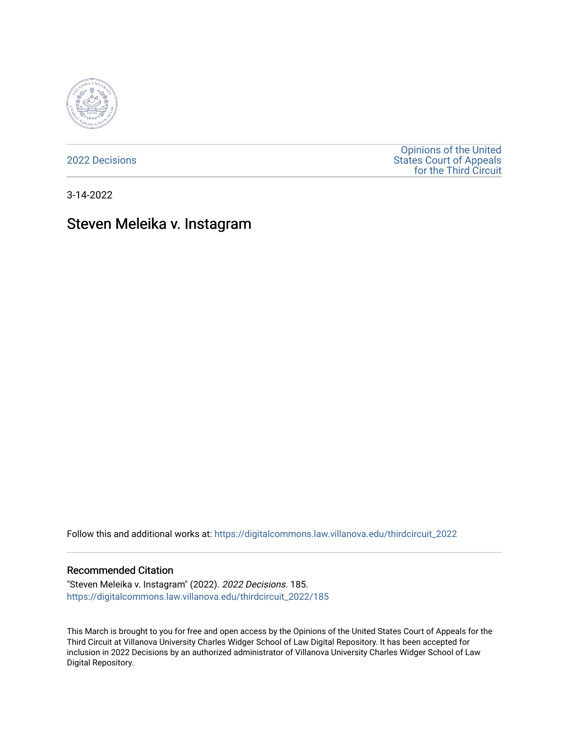

[2022 Decisions](https://digitalcommons.law.villanova.edu/thirdcircuit_2022)

[Opinions of the United](https://digitalcommons.law.villanova.edu/thirdcircuit)  [States Court of Appeals](https://digitalcommons.law.villanova.edu/thirdcircuit)  [for the Third Circuit](https://digitalcommons.law.villanova.edu/thirdcircuit) 

3-14-2022

# Steven Meleika v. Instagram

Follow this and additional works at: [https://digitalcommons.law.villanova.edu/thirdcircuit\\_2022](https://digitalcommons.law.villanova.edu/thirdcircuit_2022?utm_source=digitalcommons.law.villanova.edu%2Fthirdcircuit_2022%2F185&utm_medium=PDF&utm_campaign=PDFCoverPages) 

#### Recommended Citation

"Steven Meleika v. Instagram" (2022). 2022 Decisions. 185. [https://digitalcommons.law.villanova.edu/thirdcircuit\\_2022/185](https://digitalcommons.law.villanova.edu/thirdcircuit_2022/185?utm_source=digitalcommons.law.villanova.edu%2Fthirdcircuit_2022%2F185&utm_medium=PDF&utm_campaign=PDFCoverPages)

This March is brought to you for free and open access by the Opinions of the United States Court of Appeals for the Third Circuit at Villanova University Charles Widger School of Law Digital Repository. It has been accepted for inclusion in 2022 Decisions by an authorized administrator of Villanova University Charles Widger School of Law Digital Repository.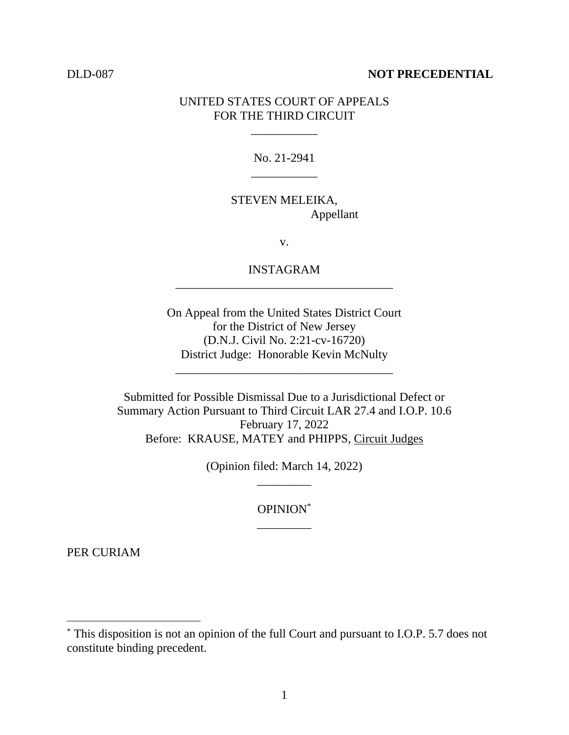### DLD-087 **NOT PRECEDENTIAL**

## UNITED STATES COURT OF APPEALS FOR THE THIRD CIRCUIT

\_\_\_\_\_\_\_\_\_\_\_

No. 21-2941 \_\_\_\_\_\_\_\_\_\_\_

# STEVEN MELEIKA, Appellant

v.

# INSTAGRAM \_\_\_\_\_\_\_\_\_\_\_\_\_\_\_\_\_\_\_\_\_\_\_\_\_\_\_\_\_\_\_\_\_\_\_\_

On Appeal from the United States District Court for the District of New Jersey (D.N.J. Civil No. 2:21-cv-16720) District Judge: Honorable Kevin McNulty

\_\_\_\_\_\_\_\_\_\_\_\_\_\_\_\_\_\_\_\_\_\_\_\_\_\_\_\_\_\_\_\_\_\_\_\_

Submitted for Possible Dismissal Due to a Jurisdictional Defect or Summary Action Pursuant to Third Circuit LAR 27.4 and I.O.P. 10.6 February 17, 2022 Before: KRAUSE, MATEY and PHIPPS, Circuit Judges

> (Opinion filed: March 14, 2022) \_\_\_\_\_\_\_\_\_

> > OPINION\* \_\_\_\_\_\_\_\_\_

PER CURIAM

<sup>\*</sup> This disposition is not an opinion of the full Court and pursuant to I.O.P. 5.7 does not constitute binding precedent.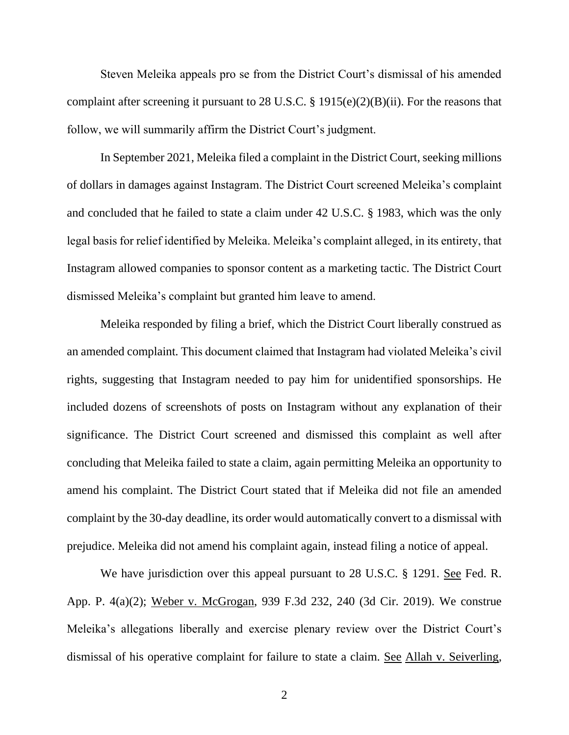Steven Meleika appeals pro se from the District Court's dismissal of his amended complaint after screening it pursuant to 28 U.S.C. § 1915(e)(2)(B)(ii). For the reasons that follow, we will summarily affirm the District Court's judgment.

In September 2021, Meleika filed a complaint in the District Court, seeking millions of dollars in damages against Instagram. The District Court screened Meleika's complaint and concluded that he failed to state a claim under 42 U.S.C. § 1983, which was the only legal basis for relief identified by Meleika. Meleika's complaint alleged, in its entirety, that Instagram allowed companies to sponsor content as a marketing tactic. The District Court dismissed Meleika's complaint but granted him leave to amend.

Meleika responded by filing a brief, which the District Court liberally construed as an amended complaint. This document claimed that Instagram had violated Meleika's civil rights, suggesting that Instagram needed to pay him for unidentified sponsorships. He included dozens of screenshots of posts on Instagram without any explanation of their significance. The District Court screened and dismissed this complaint as well after concluding that Meleika failed to state a claim, again permitting Meleika an opportunity to amend his complaint. The District Court stated that if Meleika did not file an amended complaint by the 30-day deadline, its order would automatically convert to a dismissal with prejudice. Meleika did not amend his complaint again, instead filing a notice of appeal.

We have jurisdiction over this appeal pursuant to 28 U.S.C. § 1291. See Fed. R. App. P. 4(a)(2); Weber v. McGrogan, 939 F.3d 232, 240 (3d Cir. 2019). We construe Meleika's allegations liberally and exercise plenary review over the District Court's dismissal of his operative complaint for failure to state a claim. See Allah v. Seiverling,

2